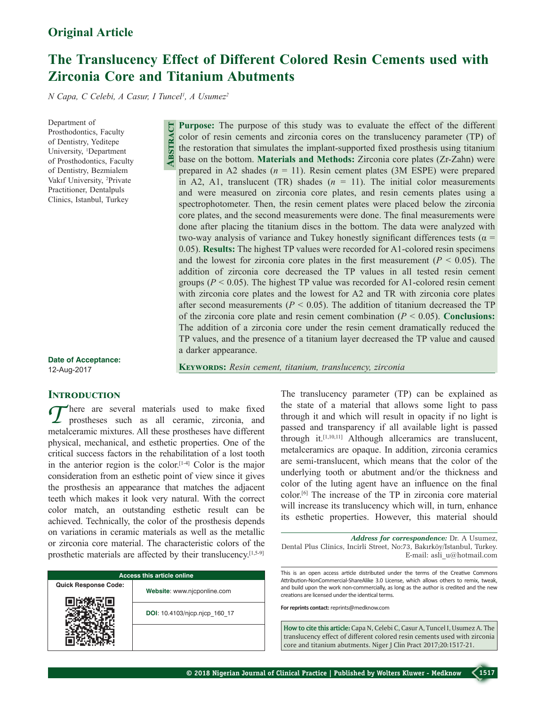# **The Translucency Effect of Different Colored Resin Cements used with Zirconia Core and Titanium Abutments**

*N Capa, C Celebi, A Casur, I Tuncel1 , A Usumez2*

**Abstract**

Department of Prosthodontics, Faculty of Dentistry, Yeditepe University, <sup>1</sup>Department of Prosthodontics, Faculty of Dentistry, Bezmialem Vakıf University, <sup>2</sup> Private Practitioner, Dentalpuls Clinics, Istanbul, Turkey

**Purpose:** The purpose of this study was to evaluate the effect of the different color of resin cements and zirconia cores on the translucency parameter (TP) of the restoration that simulates the implant‑supported fixed prosthesis using titanium base on the bottom. **Materials and Methods:** Zirconia core plates (Zr‑Zahn) were prepared in A2 shades (*n* = 11). Resin cement plates (3M ESPE) were prepared in A2, A1, translucent (TR) shades  $(n = 11)$ . The initial color measurements and were measured on zirconia core plates, and resin cements plates using a spectrophotometer. Then, the resin cement plates were placed below the zirconia core plates, and the second measurements were done. The final measurements were done after placing the titanium discs in the bottom. The data were analyzed with two-way analysis of variance and Tukey honestly significant differences tests ( $\alpha$  = 0.05). **Results:** The highest TP values were recorded for A1-colored resin specimens and the lowest for zirconia core plates in the first measurement  $(P < 0.05)$ . The addition of zirconia core decreased the TP values in all tested resin cement groups ( $P < 0.05$ ). The highest TP value was recorded for A1-colored resin cement with zirconia core plates and the lowest for A2 and TR with zirconia core plates after second measurements ( $P \le 0.05$ ). The addition of titanium decreased the TP of the zirconia core plate and resin cement combination  $(P < 0.05)$ . **Conclusions:** The addition of a zirconia core under the resin cement dramatically reduced the TP values, and the presence of a titanium layer decreased the TP value and caused a darker appearance.

**Keywords:** *Resin cement, titanium, translucency, zirconia*

**Date of Acceptance:** 12-Aug-2017

# **INTRODUCTION**

*T* here are several materials used to make fixed prostheses such as all ceramic, zirconia, and models remained as a little sequently seen the set of the set of the set of the set of the set of the set of the set of the se metalceramic mixtures. All these prostheses have different physical, mechanical, and esthetic properties. One of the critical success factors in the rehabilitation of a lost tooth in the anterior region is the color.<sup>[1-4]</sup> Color is the major consideration from an esthetic point of view since it gives the prosthesis an appearance that matches the adjacent teeth which makes it look very natural. With the correct color match, an outstanding esthetic result can be achieved. Technically, the color of the prosthesis depends on variations in ceramic materials as well as the metallic or zirconia core material. The characteristic colors of the prosthetic materials are affected by their translucency.[1,5‑9]

| <b>Access this article online</b> |                               |  |  |  |
|-----------------------------------|-------------------------------|--|--|--|
| <b>Quick Response Code:</b>       | Website: www.njcponline.com   |  |  |  |
|                                   | DOI: 10.4103/njcp.njcp 160 17 |  |  |  |
|                                   |                               |  |  |  |

The translucency parameter (TP) can be explained as the state of a material that allows some light to pass through it and which will result in opacity if no light is passed and transparency if all available light is passed through it.[1,10,11] Although allceramics are translucent, metalceramics are opaque. In addition, zirconia ceramics are semi-translucent, which means that the color of the underlying tooth or abutment and/or the thickness and color of the luting agent have an influence on the final color.[6] The increase of the TP in zirconia core material will increase its translucency which will, in turn, enhance its esthetic properties. However, this material should

This is an open access article distributed under the terms of the Creative Commons Attribution-NonCommercial-ShareAlike 3.0 License, which allows others to remix, tweak, and build upon the work non-commercially, as long as the author is credited and the new creations are licensed under the identical terms.

**For reprints contact:** reprints@medknow.com

**How to cite this article:** Capa N, Celebi C, Casur A, Tuncel I, Usumez A. The translucency effect of different colored resin cements used with zirconia core and titanium abutments. Niger J Clin Pract 2017;20:1517-21.

*Address for correspondence:* Dr. A Usumez, Dental Plus Clinics, Incirli Street, No:73, Bakırköy/Istanbul, Turkey. E‑mail: asli\_u@hotmail.com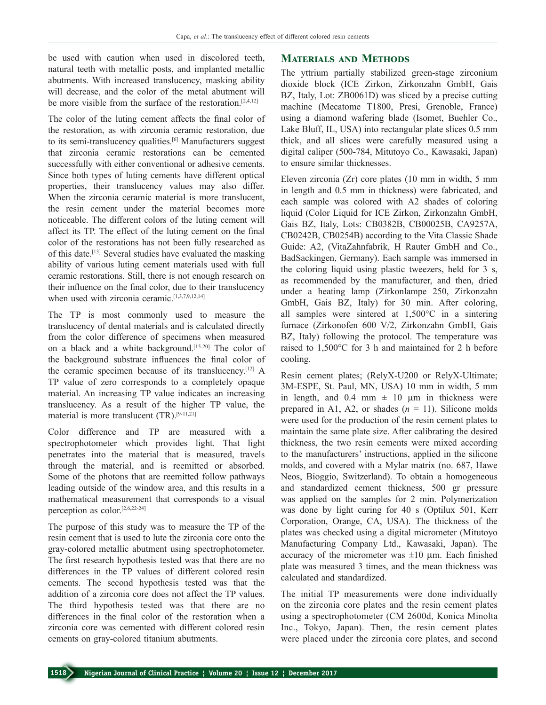be used with caution when used in discolored teeth, natural teeth with metallic posts, and implanted metallic abutments. With increased translucency, masking ability will decrease, and the color of the metal abutment will be more visible from the surface of the restoration.<sup>[2,4,12]</sup>

The color of the luting cement affects the final color of the restoration, as with zirconia ceramic restoration, due to its semi-translucency qualities.<sup>[6]</sup> Manufacturers suggest that zirconia ceramic restorations can be cemented successfully with either conventional or adhesive cements. Since both types of luting cements have different optical properties, their translucency values may also differ. When the zirconia ceramic material is more translucent. the resin cement under the material becomes more noticeable. The different colors of the luting cement will affect its TP. The effect of the luting cement on the final color of the restorations has not been fully researched as of this date.[13] Several studies have evaluated the masking ability of various luting cement materials used with full ceramic restorations. Still, there is not enough research on their influence on the final color, due to their translucency when used with zirconia ceramic.<sup>[1,3,7,9,12,14]</sup>

The TP is most commonly used to measure the translucency of dental materials and is calculated directly from the color difference of specimens when measured on a black and a white background.<sup>[15-20]</sup> The color of the background substrate influences the final color of the ceramic specimen because of its translucency.[12] A TP value of zero corresponds to a completely opaque material. An increasing TP value indicates an increasing translucency. As a result of the higher TP value, the material is more translucent (TR).<sup>[9-11,21]</sup>

Color difference and TP are measured with a spectrophotometer which provides light. That light penetrates into the material that is measured, travels through the material, and is reemitted or absorbed. Some of the photons that are reemitted follow pathways leading outside of the window area, and this results in a mathematical measurement that corresponds to a visual perception as color.[2,6,22‑24]

The purpose of this study was to measure the TP of the resin cement that is used to lute the zirconia core onto the gray‑colored metallic abutment using spectrophotometer. The first research hypothesis tested was that there are no differences in the TP values of different colored resin cements. The second hypothesis tested was that the addition of a zirconia core does not affect the TP values. The third hypothesis tested was that there are no differences in the final color of the restoration when a zirconia core was cemented with different colored resin cements on gray‑colored titanium abutments.

# **Materials and Methods**

The yttrium partially stabilized green-stage zirconium dioxide block (ICE Zirkon, Zirkonzahn GmbH, Gais BZ, Italy, Lot: ZB0061D) was sliced by a precise cutting machine (Mecatome T1800, Presi, Grenoble, France) using a diamond wafering blade (Isomet, Buehler Co., Lake Bluff, IL, USA) into rectangular plate slices 0.5 mm thick, and all slices were carefully measured using a digital caliper (500‑784, Mitutoyo Co., Kawasaki, Japan) to ensure similar thicknesses.

Eleven zirconia (Zr) core plates (10 mm in width, 5 mm in length and 0.5 mm in thickness) were fabricated, and each sample was colored with A2 shades of coloring liquid (Color Liquid for ICE Zirkon, Zirkonzahn GmbH, Gais BZ, Italy, Lots: CB0382B, CB00025B, CA9257A, CB0242B, CB0254B) according to the Vita Classic Shade Guide: A2, (VitaZahnfabrik, H Rauter GmbH and Co., BadSackingen, Germany). Each sample was immersed in the coloring liquid using plastic tweezers, held for 3 s, as recommended by the manufacturer, and then, dried under a heating lamp (Zirkonlampe 250, Zirkonzahn GmbH, Gais BZ, Italy) for 30 min. After coloring, all samples were sintered at 1,500°C in a sintering furnace (Zirkonofen 600 V/2, Zirkonzahn GmbH, Gais BZ, Italy) following the protocol. The temperature was raised to 1,500°C for 3 h and maintained for 2 h before cooling.

Resin cement plates; (RelyX-U200 or RelyX-Ultimate; 3M‑ESPE, St. Paul, MN, USA) 10 mm in width, 5 mm in length, and 0.4 mm  $\pm$  10 µm in thickness were prepared in A1, A2, or shades  $(n = 11)$ . Silicone molds were used for the production of the resin cement plates to maintain the same plate size. After calibrating the desired thickness, the two resin cements were mixed according to the manufacturers' instructions, applied in the silicone molds, and covered with a Mylar matrix (no. 687, Hawe Neos, Bioggio, Switzerland). To obtain a homogeneous and standardized cement thickness, 500 gr pressure was applied on the samples for 2 min. Polymerization was done by light curing for 40 s (Optilux 501, Kerr Corporation, Orange, CA, USA). The thickness of the plates was checked using a digital micrometer (Mitutoyo Manufacturing Company Ltd., Kawasaki, Japan). The accuracy of the micrometer was  $\pm 10$  μm. Each finished plate was measured 3 times, and the mean thickness was calculated and standardized.

The initial TP measurements were done individually on the zirconia core plates and the resin cement plates using a spectrophotometer (CM 2600d, Konica Minolta Inc., Tokyo, Japan). Then, the resin cement plates were placed under the zirconia core plates, and second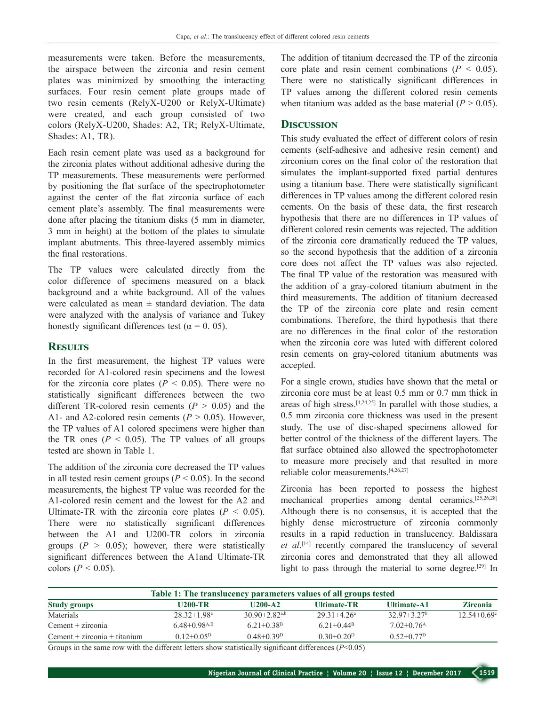measurements were taken. Before the measurements, the airspace between the zirconia and resin cement plates was minimized by smoothing the interacting surfaces. Four resin cement plate groups made of two resin cements (RelyX‑U200 or RelyX‑Ultimate) were created, and each group consisted of two colors (RelyX‑U200, Shades: A2, TR; RelyX‑Ultimate, Shades: A1, TR).

Each resin cement plate was used as a background for the zirconia plates without additional adhesive during the TP measurements. These measurements were performed by positioning the flat surface of the spectrophotometer against the center of the flat zirconia surface of each cement plate's assembly. The final measurements were done after placing the titanium disks (5 mm in diameter, 3 mm in height) at the bottom of the plates to simulate implant abutments. This three-layered assembly mimics the final restorations.

The TP values were calculated directly from the color difference of specimens measured on a black background and a white background. All of the values were calculated as mean  $\pm$  standard deviation. The data were analyzed with the analysis of variance and Tukey honestly significant differences test ( $\alpha = 0.05$ ).

# **Results**

In the first measurement, the highest TP values were recorded for A1‑colored resin specimens and the lowest for the zirconia core plates  $(P < 0.05)$ . There were no statistically significant differences between the two different TR-colored resin cements  $(P > 0.05)$  and the A1- and A2-colored resin cements  $(P > 0.05)$ . However, the TP values of A1 colored specimens were higher than the TR ones ( $P < 0.05$ ). The TP values of all groups tested are shown in Table 1.

The addition of the zirconia core decreased the TP values in all tested resin cement groups ( $P \le 0.05$ ). In the second measurements, the highest TP value was recorded for the A1‑colored resin cement and the lowest for the A2 and Ultimate–TR with the zirconia core plates  $(P < 0.05)$ . There were no statistically significant differences between the A1 and U200-TR colors in zirconia groups  $(P > 0.05)$ ; however, there were statistically significant differences between the A1and Ultimate-TR colors (*P* < 0.05).

The addition of titanium decreased the TP of the zirconia core plate and resin cement combinations  $(P < 0.05)$ . There were no statistically significant differences in TP values among the different colored resin cements when titanium was added as the base material  $(P > 0.05)$ .

#### **Discussion**

This study evaluated the effect of different colors of resin cements (self‑adhesive and adhesive resin cement) and zirconium cores on the final color of the restoration that simulates the implant-supported fixed partial dentures using a titanium base. There were statistically significant differences in TP values among the different colored resin cements. On the basis of these data, the first research hypothesis that there are no differences in TP values of different colored resin cements was rejected. The addition of the zirconia core dramatically reduced the TP values, so the second hypothesis that the addition of a zirconia core does not affect the TP values was also rejected. The final TP value of the restoration was measured with the addition of a gray‑colored titanium abutment in the third measurements. The addition of titanium decreased the TP of the zirconia core plate and resin cement combinations. Therefore, the third hypothesis that there are no differences in the final color of the restoration when the zirconia core was luted with different colored resin cements on gray‑colored titanium abutments was accepted.

For a single crown, studies have shown that the metal or zirconia core must be at least 0.5 mm or 0.7 mm thick in areas of high stress. $[4,24,25]$  In parallel with those studies, a 0.5 mm zirconia core thickness was used in the present study. The use of disc‑shaped specimens allowed for better control of the thickness of the different layers. The flat surface obtained also allowed the spectrophotometer to measure more precisely and that resulted in more reliable color measurements.[4,26,27]

Zirconia has been reported to possess the highest mechanical properties among dental ceramics.[25,26,28] Although there is no consensus, it is accepted that the highly dense microstructure of zirconia commonly results in a rapid reduction in translucency. Baldissara *et al*. [14] recently compared the translucency of several zirconia cores and demonstrated that they all allowed light to pass through the material to some degree.[29] In

| Table 1: The translucency parameters values of all groups tested |                               |                          |                       |                             |  |  |
|------------------------------------------------------------------|-------------------------------|--------------------------|-----------------------|-----------------------------|--|--|
| U200-TR                                                          | $II200-A2$                    | <b>Ultimate-TR</b>       | <b>Ultimate-A1</b>    | <b>Zirconia</b>             |  |  |
| $28.32 + 1.98$ <sup>a</sup>                                      | $30.90 + 2.82$ <sup>a,b</sup> | $2931+426$ <sup>a</sup>  | $32.97+3.27b$         | $12.54 + 0.69$ <sup>c</sup> |  |  |
| $6.48 + 0.98$ <sup>A,B</sup>                                     | $6.21 + 0.38$ <sup>B</sup>    | 6 21 + 0 44 <sup>B</sup> | $7.02+0.76A$          |                             |  |  |
| $0.12 + 0.05^{\rm D}$                                            | $0.48 + 0.39$ <sup>D</sup>    | $0.30+0.20^{\rm D}$      | $0.52 + 0.77^{\rm D}$ |                             |  |  |
|                                                                  |                               |                          |                       |                             |  |  |

Groups in the same row with the different letters show statistically significant differences (*P*<0.05)